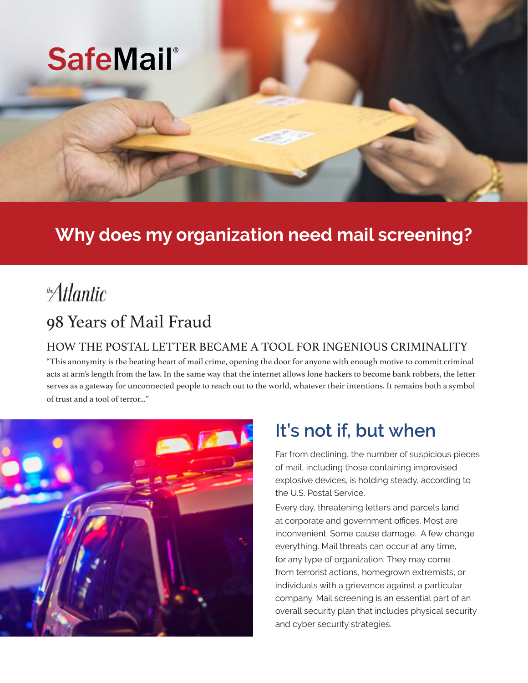

## **Why does my organization need mail screening?**

# the Atlantic

## 98 Years of Mail Fraud

### HOW THE POSTAL LETTER BECAME A TOOL FOR INGENIOUS CRIMINALITY

"This anonymity is the beating heart of mail crime, opening the door for anyone with enough motive to commit criminal acts at arm's length from the law. In the same way that the internet allows lone hackers to become bank robbers, the letter serves as a gateway for unconnected people to reach out to the world, whatever their intentions. It remains both a symbol of trust and a tool of terror..."



## **It's not if, but when**

Far from declining, the number of suspicious pieces of mail, including those containing improvised explosive devices, is holding steady, according to the U.S. Postal Service.

Every day, threatening letters and parcels land at corporate and government offices. Most are inconvenient. Some cause damage. A few change everything. Mail threats can occur at any time, for any type of organization. They may come from terrorist actions, homegrown extremists, or individuals with a grievance against a particular company. Mail screening is an essential part of an overall security plan that includes physical security and cyber security strategies.